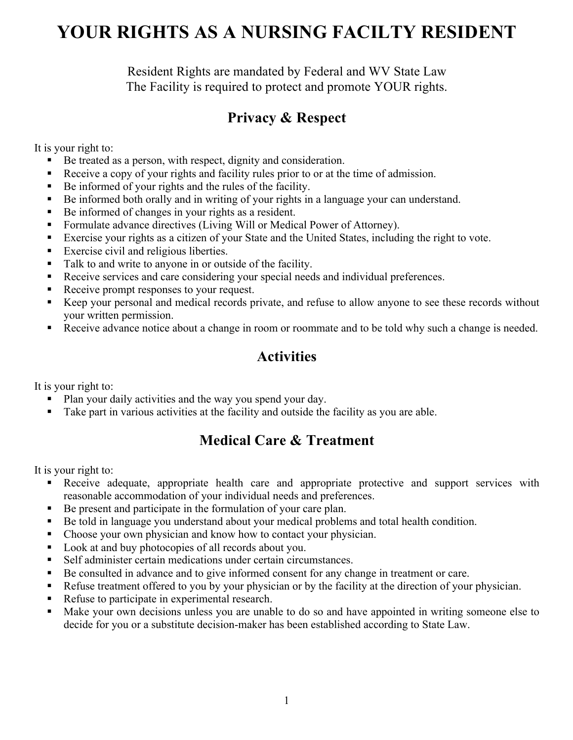# **YOUR RIGHTS AS A NURSING FACILTY RESIDENT**

Resident Rights are mandated by Federal and WV State Law The Facility is required to protect and promote YOUR rights.

### **Privacy & Respect**

It is your right to:

- Be treated as a person, with respect, dignity and consideration.
- § Receive a copy of your rights and facility rules prior to or at the time of admission.
- Be informed of your rights and the rules of the facility.
- Be informed both orally and in writing of your rights in a language your can understand.
- Be informed of changes in your rights as a resident.
- Formulate advance directives (Living Will or Medical Power of Attorney).
- Exercise your rights as a citizen of your State and the United States, including the right to vote.
- Exercise civil and religious liberties.
- Talk to and write to anyone in or outside of the facility.
- Receive services and care considering your special needs and individual preferences.
- Receive prompt responses to your request.
- Keep your personal and medical records private, and refuse to allow anyone to see these records without your written permission.
- Receive advance notice about a change in room or roommate and to be told why such a change is needed.

#### **Activities**

It is your right to:

- Plan your daily activities and the way you spend your day.
- Take part in various activities at the facility and outside the facility as you are able.

#### **Medical Care & Treatment**

It is your right to:

- **•** Receive adequate, appropriate health care and appropriate protective and support services with reasonable accommodation of your individual needs and preferences.
- Be present and participate in the formulation of your care plan.
- Be told in language you understand about your medical problems and total health condition.
- Choose your own physician and know how to contact your physician.
- Look at and buy photocopies of all records about you.
- Self administer certain medications under certain circumstances.
- Be consulted in advance and to give informed consent for any change in treatment or care.
- Refuse treatment offered to you by your physician or by the facility at the direction of your physician.
- Refuse to participate in experimental research.
- Make your own decisions unless you are unable to do so and have appointed in writing someone else to decide for you or a substitute decision-maker has been established according to State Law.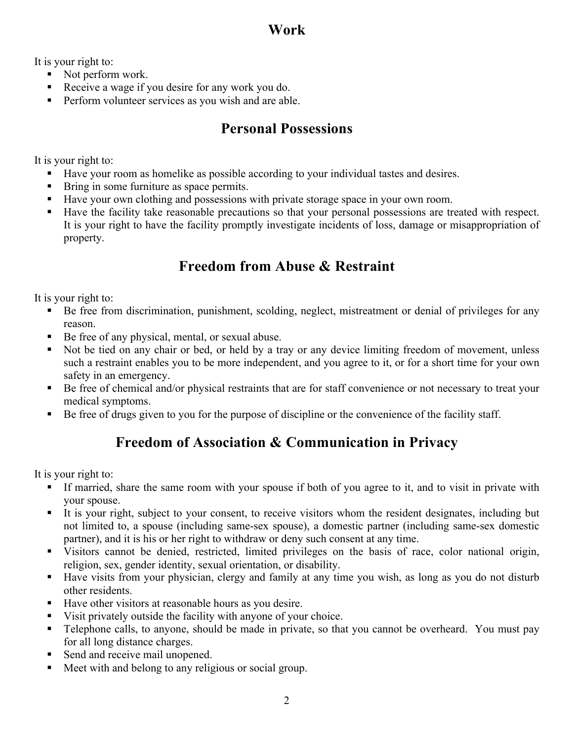### **Work**

It is your right to:

- Not perform work.
- Receive a wage if you desire for any work you do.
- Perform volunteer services as you wish and are able.

#### **Personal Possessions**

It is your right to:

- Have your room as homelike as possible according to your individual tastes and desires.
- Bring in some furniture as space permits.
- Have your own clothing and possessions with private storage space in your own room.
- § Have the facility take reasonable precautions so that your personal possessions are treated with respect. It is your right to have the facility promptly investigate incidents of loss, damage or misappropriation of property.

## **Freedom from Abuse & Restraint**

It is your right to:

- Be free from discrimination, punishment, scolding, neglect, mistreatment or denial of privileges for any reason.
- Be free of any physical, mental, or sexual abuse.
- Not be tied on any chair or bed, or held by a tray or any device limiting freedom of movement, unless such a restraint enables you to be more independent, and you agree to it, or for a short time for your own safety in an emergency.
- Be free of chemical and/or physical restraints that are for staff convenience or not necessary to treat your medical symptoms.
- § Be free of drugs given to you for the purpose of discipline or the convenience of the facility staff.

## **Freedom of Association & Communication in Privacy**

It is your right to:

- § If married, share the same room with your spouse if both of you agree to it, and to visit in private with your spouse.
- § It is your right, subject to your consent, to receive visitors whom the resident designates, including but not limited to, a spouse (including same-sex spouse), a domestic partner (including same-sex domestic partner), and it is his or her right to withdraw or deny such consent at any time.
- § Visitors cannot be denied, restricted, limited privileges on the basis of race, color national origin, religion, sex, gender identity, sexual orientation, or disability.
- Have visits from your physician, clergy and family at any time you wish, as long as you do not disturb other residents.
- Have other visitors at reasonable hours as you desire.
- Visit privately outside the facility with anyone of your choice.
- Telephone calls, to anyone, should be made in private, so that you cannot be overheard. You must pay for all long distance charges.
- Send and receive mail unopened.
- Meet with and belong to any religious or social group.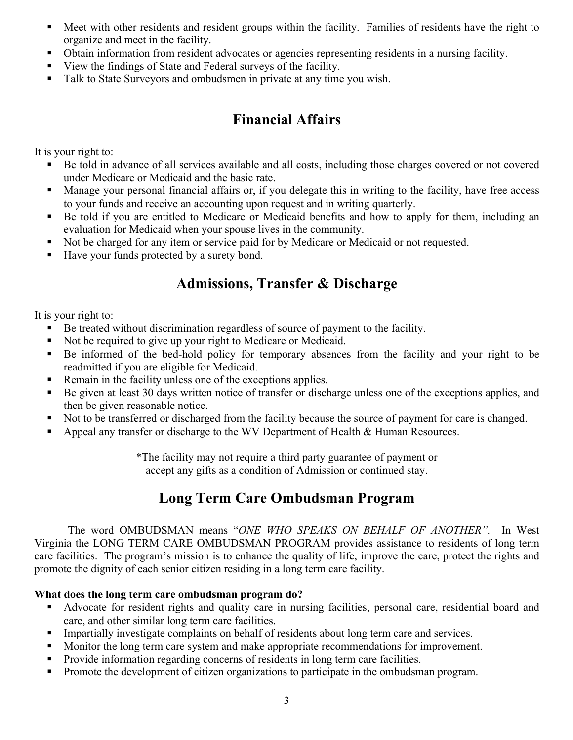- Meet with other residents and resident groups within the facility. Families of residents have the right to organize and meet in the facility.
- Obtain information from resident advocates or agencies representing residents in a nursing facility.
- § View the findings of State and Federal surveys of the facility.
- Talk to State Surveyors and ombudsmen in private at any time you wish.

#### **Financial Affairs**

It is your right to:

- Be told in advance of all services available and all costs, including those charges covered or not covered under Medicare or Medicaid and the basic rate.
- Manage your personal financial affairs or, if you delegate this in writing to the facility, have free access to your funds and receive an accounting upon request and in writing quarterly.
- Be told if you are entitled to Medicare or Medicaid benefits and how to apply for them, including an evaluation for Medicaid when your spouse lives in the community.
- Not be charged for any item or service paid for by Medicare or Medicaid or not requested.
- Have your funds protected by a surety bond.

#### **Admissions, Transfer & Discharge**

It is your right to:

- Be treated without discrimination regardless of source of payment to the facility.
- Not be required to give up your right to Medicare or Medicaid.
- § Be informed of the bed-hold policy for temporary absences from the facility and your right to be readmitted if you are eligible for Medicaid.
- Remain in the facility unless one of the exceptions applies.
- Be given at least 30 days written notice of transfer or discharge unless one of the exceptions applies, and then be given reasonable notice.
- Not to be transferred or discharged from the facility because the source of payment for care is changed.
- Appeal any transfer or discharge to the WV Department of Health & Human Resources.

\*The facility may not require a third party guarantee of payment or accept any gifts as a condition of Admission or continued stay.

#### **Long Term Care Ombudsman Program**

The word OMBUDSMAN means "*ONE WHO SPEAKS ON BEHALF OF ANOTHER".* In West Virginia the LONG TERM CARE OMBUDSMAN PROGRAM provides assistance to residents of long term care facilities. The program's mission is to enhance the quality of life, improve the care, protect the rights and promote the dignity of each senior citizen residing in a long term care facility.

#### **What does the long term care ombudsman program do?**

- § Advocate for resident rights and quality care in nursing facilities, personal care, residential board and care, and other similar long term care facilities.
- Impartially investigate complaints on behalf of residents about long term care and services.
- Monitor the long term care system and make appropriate recommendations for improvement.
- Provide information regarding concerns of residents in long term care facilities.
- Promote the development of citizen organizations to participate in the ombudsman program.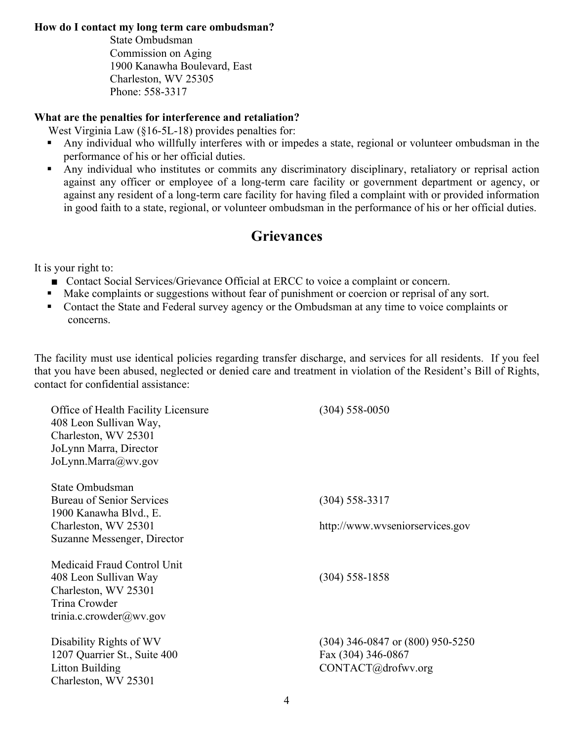#### **How do I contact my long term care ombudsman?**

State Ombudsman Commission on Aging 1900 Kanawha Boulevard, East Charleston, WV 25305 Phone: 558-3317

#### **What are the penalties for interference and retaliation?**

West Virginia Law (§16-5L-18) provides penalties for:

- Any individual who willfully interferes with or impedes a state, regional or volunteer ombudsman in the performance of his or her official duties.
- Any individual who institutes or commits any discriminatory disciplinary, retaliatory or reprisal action against any officer or employee of a long-term care facility or government department or agency, or against any resident of a long-term care facility for having filed a complaint with or provided information in good faith to a state, regional, or volunteer ombudsman in the performance of his or her official duties.

#### **Grievances**

It is your right to:

- Contact Social Services/Grievance Official at ERCC to voice a complaint or concern.
- Make complaints or suggestions without fear of punishment or coercion or reprisal of any sort.
- Contact the State and Federal survey agency or the Ombudsman at any time to voice complaints or concerns.

The facility must use identical policies regarding transfer discharge, and services for all residents. If you feel that you have been abused, neglected or denied care and treatment in violation of the Resident's Bill of Rights, contact for confidential assistance:

| Office of Health Facility Licensure   | $(304) 558 - 0050$                   |
|---------------------------------------|--------------------------------------|
| 408 Leon Sullivan Way,                |                                      |
| Charleston, WV 25301                  |                                      |
| JoLynn Marra, Director                |                                      |
| JoLynn.Marra@wv.gov                   |                                      |
|                                       |                                      |
| State Ombudsman                       |                                      |
| <b>Bureau of Senior Services</b>      | $(304)$ 558-3317                     |
| 1900 Kanawha Blvd., E.                |                                      |
| Charleston, WV 25301                  | http://www.wyseniorservices.gov      |
| Suzanne Messenger, Director           |                                      |
| Medicaid Fraud Control Unit           |                                      |
|                                       | $(304)$ 558-1858                     |
| 408 Leon Sullivan Way                 |                                      |
| Charleston, WV 25301<br>Trina Crowder |                                      |
|                                       |                                      |
| trinia.c.crowder@wv.gov               |                                      |
| Disability Rights of WV               | $(304)$ 346-0847 or $(800)$ 950-5250 |
| 1207 Quarrier St., Suite 400          | Fax (304) 346-0867                   |
| Litton Building                       | CONTACT@drofwv.org                   |
| Charleston, WV 25301                  |                                      |
|                                       |                                      |